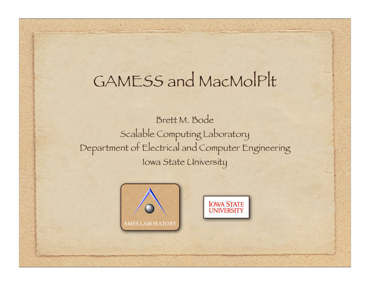#### GAMESS and MacMolPlt

Brett M. Bode Scalable Computing Laboratory Department of Electrical and Computer Engineering Iowa State University



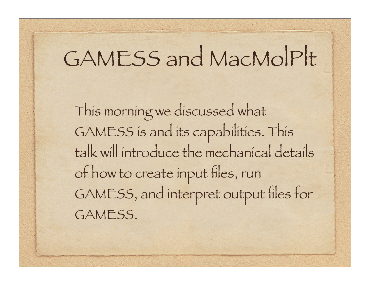## GAMESS and MacMolPlt

This morning we discussed what GAMESS is and its capabilities. This talk will introduce the mechanical details of how to create input files, run GAMESS, and interpret output files for GAMESS.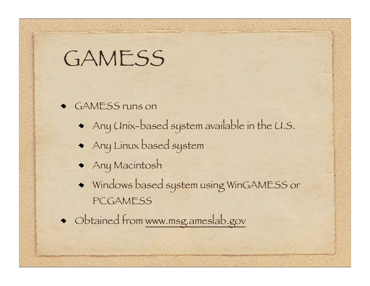#### **GAMESS**

- GAMESS runs on
	- Any Unix-based system available in the U.S.
	- Any Linux based system
	- Any Macintosh
	- Windows based system using WinGAMESS or **PCGAMESS**
- Obtained from www.msg.ameslab.gov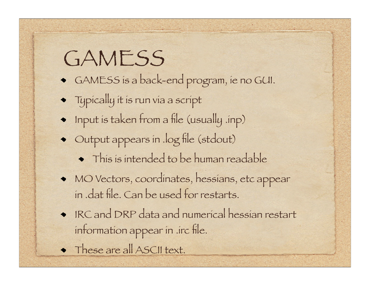#### **GAMESS**

- GAMESS is a back-end program, ie no GUI.
- Typically it is run via a script
- Input is taken from a file (usually .inp)
- Output appears in .log file (stdout)
	- $\bullet$  This is intended to be human readable
- MO Vectors, coordinates, hessians, etc appear in .dat file. Can be used for restarts.
- IRC and DRP data and numerical hessian restart information appear in .irc file.
- These are all ASCII text.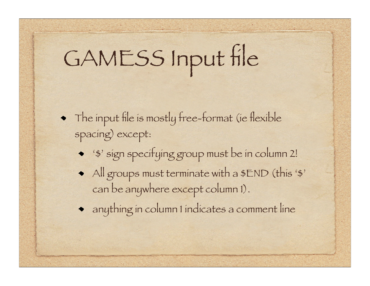# GAMESS Input file

- The input file is mostly free-format (ie flexible spacing) except:
	- '\$' sign specifying group must be in column 2!
	- All groups must terminate with a \$END (this '\$' can be anywhere except column 1).
	- anything in column 1 indicates a comment line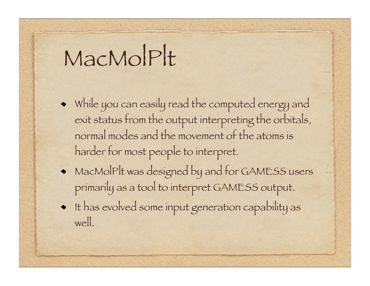## MacMolPlt

- While you can easily read the computed energy and exit status from the output interpreting the orbitals, normal modes and the movement of the atoms is harder for most people to interpret.
- MacMolPlt was designed by and for GAMESS users primarily as a tool to interpret GAMESS output.
- It has evolved some input generation capability as well.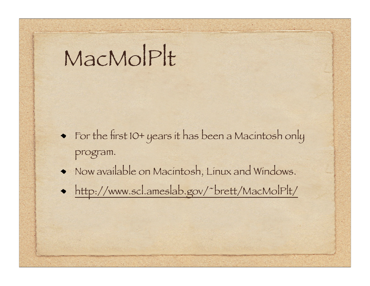## MacMolPlt

- For the first 10+ years it has been a Macintosh only program.
- Now available on Macintosh, Linux and Windows.
- http://www.scl.ameslab.gov/~brett/MacMolPlt/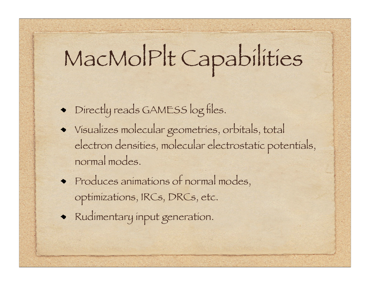## MacMolPlt Capabilities

- Directly reads GAMESS log files.
- Visualizes molecular geometries, orbitals, total electron densities, molecular electrostatic potentials, normal modes.
- Produces animations of normal modes, optimizations, IRCs, DRCs, etc.
- Rudimentary input generation.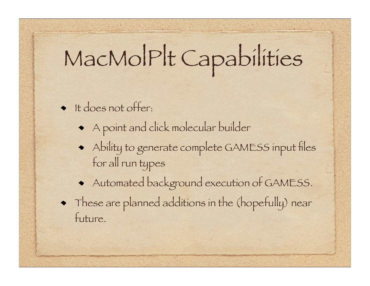## MacMolPlt Capabilities

- It does not offer:
	- A point and click molecular builder
	- Ability to generate complete GAMESS input files for all run types
	- Automated background execution of GAMESS.
- These are planned additions in the (hopefully) near future.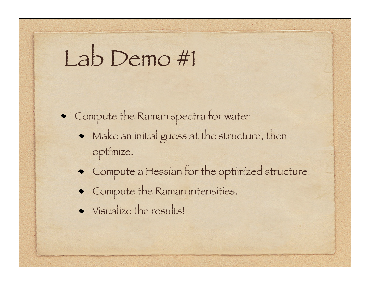### Lab Demo #1

• Compute the Raman spectra for water

- Make an initial guess at the structure, then optimize.
- Compute a Hessian for the optimized structure.
- Compute the Raman intensities.
- Visualize the results!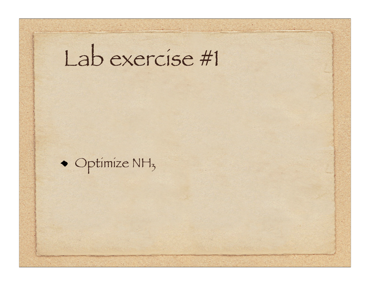## Lab exercise #1

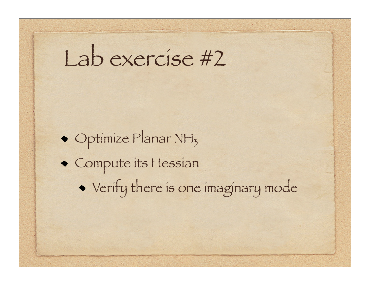### Lab exercise #2

• Optimize Planar NH<sub>3</sub> Compute its Hessian Verify there is one imaginary mode